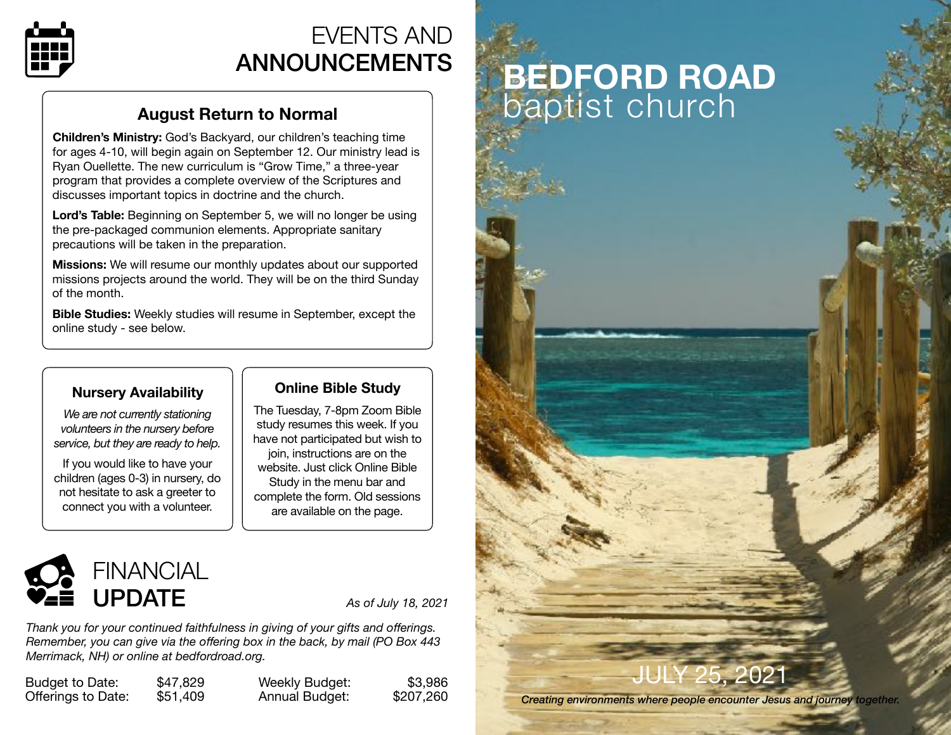

# EVENTS AND ANNOUNCEMENTS

## **August Return to Normal**

**Children's Ministry:** God's Backyard, our children's teaching time for ages 4-10, will begin again on September 12. Our ministry lead is Ryan Ouellette. The new curriculum is "Grow Time," a three-year program that provides a complete overview of the Scriptures and discusses important topics in doctrine and the church.

**Lord's Table:** Beginning on September 5, we will no longer be using the pre-packaged communion elements. Appropriate sanitary precautions will be taken in the preparation.

**Missions:** We will resume our monthly updates about our supported missions projects around the world. They will be on the third Sunday of the month.

**Bible Studies:** Weekly studies will resume in September, except the online study - see below.

## **Nursery Availability**

*We are not currently stationing volunteers in the nursery before service, but they are ready to help.* 

If you would like to have your children (ages 0-3) in nursery, do not hesitate to ask a greeter to connect you with a volunteer.

## **Online Bible Study**

The Tuesday, 7-8pm Zoom Bible study resumes this week. If you have not participated but wish to join, instructions are on the website. Just click Online Bible Study in the menu bar and complete the form. Old sessions are available on the page.



*Thank you for your continued faithfulness in giving of your gifts and offerings. Remember, you can give via the offering box in the back, by mail (PO Box 443 Merrimack, NH) or online at [bedfordroad.org.](http://bedfordroad.org)*

Budget to Date: \$47,829 Offerings to Date: \$51,409 Weekly Budget: Annual Budget:

| \$3,986   |  |
|-----------|--|
| \$207,260 |  |

# **BEDFORD ROAD**  baptist church

# Y 25, 2021

*Creating environments where people encounter Jesus and journey together.*